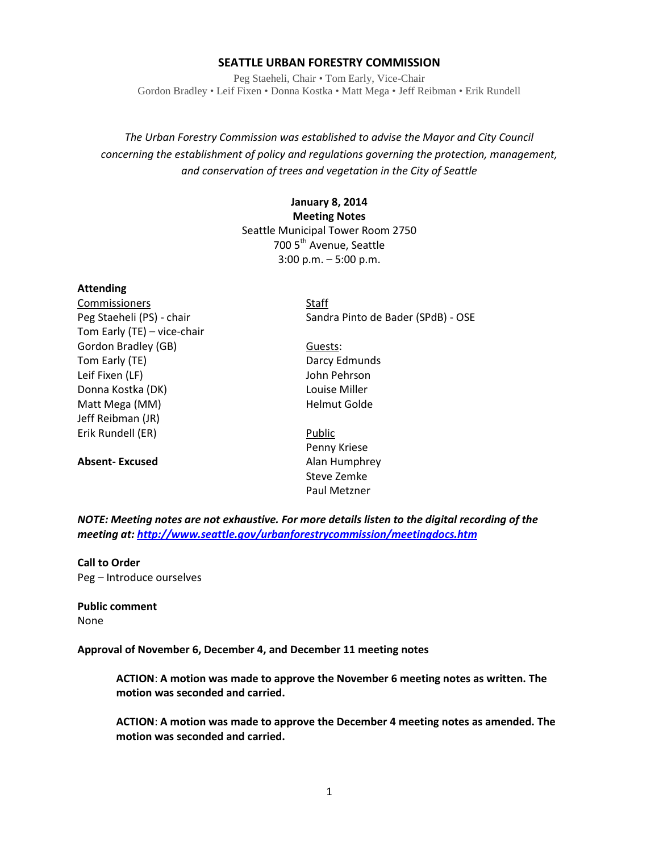#### **SEATTLE URBAN FORESTRY COMMISSION**

Peg Staeheli, Chair • Tom Early, Vice-Chair Gordon Bradley • Leif Fixen • Donna Kostka • Matt Mega • Jeff Reibman • Erik Rundell

*The Urban Forestry Commission was established to advise the Mayor and City Council concerning the establishment of policy and regulations governing the protection, management, and conservation of trees and vegetation in the City of Seattle*

# **January 8, 2014 Meeting Notes** Seattle Municipal Tower Room 2750 700 5<sup>th</sup> Avenue, Seattle 3:00 p.m. – 5:00 p.m.

#### **Attending**

Commissioners Staff Tom Early (TE) – vice-chair Gordon Bradley (GB) Guests: Tom Early (TE) **Darcy Edmunds** Leif Fixen (LF) and the state of the state of the John Pehrson Donna Kostka (DK) Louise Miller Matt Mega (MM) and the Melmut Golde Jeff Reibman (JR) Erik Rundell (ER) Public

**Absent-Excused** Alan Humphrey

Peg Staeheli (PS) - chair Sandra Pinto de Bader (SPdB) - OSE

- 
- Penny Kriese Steve Zemke Paul Metzner

*NOTE: Meeting notes are not exhaustive. For more details listen to the digital recording of the meeting at[: http://www.seattle.gov/urbanforestrycommission/meetingdocs.htm](http://www.seattle.gov/urbanforestrycommission/meetingdocs.htm)*

**Call to Order** Peg – Introduce ourselves

**Public comment** None

**Approval of November 6, December 4, and December 11 meeting notes**

**ACTION**: **A motion was made to approve the November 6 meeting notes as written. The motion was seconded and carried.** 

**ACTION**: **A motion was made to approve the December 4 meeting notes as amended. The motion was seconded and carried.**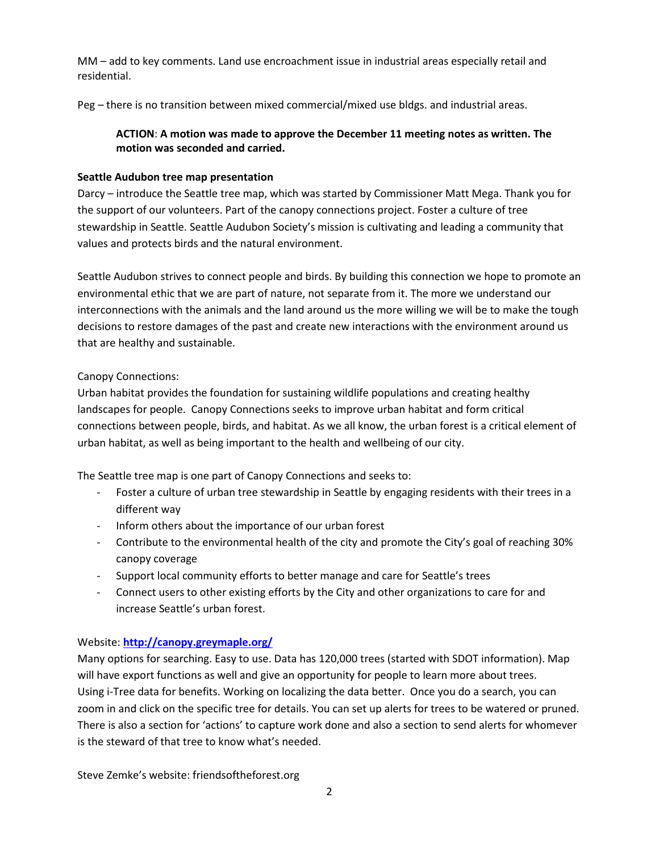MM – add to key comments. Land use encroachment issue in industrial areas especially retail and residential.

Peg – there is no transition between mixed commercial/mixed use bldgs. and industrial areas.

# **ACTION**: **A motion was made to approve the December 11 meeting notes as written. The motion was seconded and carried.**

## **Seattle Audubon tree map presentation**

Darcy – introduce the Seattle tree map, which was started by Commissioner Matt Mega. Thank you for the support of our volunteers. Part of the canopy connections project. Foster a culture of tree stewardship in Seattle. Seattle Audubon Society's mission is cultivating and leading a community that values and protects birds and the natural environment.

Seattle Audubon strives to connect people and birds. By building this connection we hope to promote an environmental ethic that we are part of nature, not separate from it. The more we understand our interconnections with the animals and the land around us the more willing we will be to make the tough decisions to restore damages of the past and create new interactions with the environment around us that are healthy and sustainable.

# Canopy Connections:

Urban habitat provides the foundation for sustaining wildlife populations and creating healthy landscapes for people. Canopy Connections seeks to improve urban habitat and form critical connections between people, birds, and habitat. As we all know, the urban forest is a critical element of urban habitat, as well as being important to the health and wellbeing of our city.

The Seattle tree map is one part of Canopy Connections and seeks to:

- Foster a culture of urban tree stewardship in Seattle by engaging residents with their trees in a different way
- Inform others about the importance of our urban forest
- Contribute to the environmental health of the city and promote the City's goal of reaching 30% canopy coverage
- Support local community efforts to better manage and care for Seattle's trees
- Connect users to other existing efforts by the City and other organizations to care for and increase Seattle's urban forest.

# Website: **[http://canopy.greymaple.org/](https://email.seattle.gov/owa/redir.aspx?C=3hHb-3lTGEe0iLlfmBWMZalWZ0Bj4NBITAoUmLyGI8ADb33ExoN9PN6NpKz_WmwfYUSwCcFUn6A.&URL=http%3a%2f%2fcanopy.greymaple.org%2f)**

Many options for searching. Easy to use. Data has 120,000 trees (started with SDOT information). Map will have export functions as well and give an opportunity for people to learn more about trees. Using i-Tree data for benefits. Working on localizing the data better. Once you do a search, you can zoom in and click on the specific tree for details. You can set up alerts for trees to be watered or pruned. There is also a section for 'actions' to capture work done and also a section to send alerts for whomever is the steward of that tree to know what's needed.

Steve Zemke's website: friendsoftheforest.org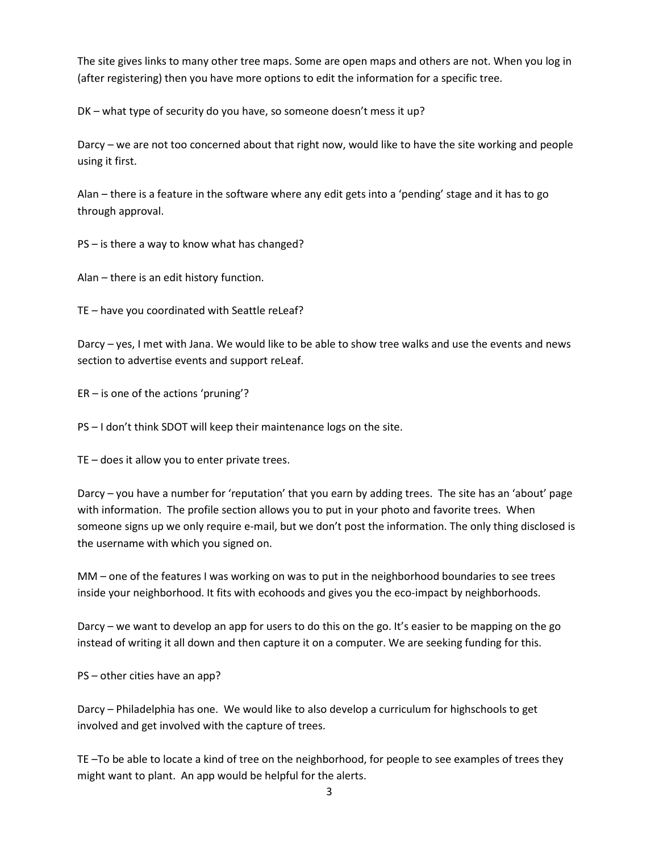The site gives links to many other tree maps. Some are open maps and others are not. When you log in (after registering) then you have more options to edit the information for a specific tree.

DK – what type of security do you have, so someone doesn't mess it up?

Darcy – we are not too concerned about that right now, would like to have the site working and people using it first.

Alan – there is a feature in the software where any edit gets into a 'pending' stage and it has to go through approval.

PS – is there a way to know what has changed?

Alan – there is an edit history function.

TE – have you coordinated with Seattle reLeaf?

Darcy – yes, I met with Jana. We would like to be able to show tree walks and use the events and news section to advertise events and support reLeaf.

ER – is one of the actions 'pruning'?

PS – I don't think SDOT will keep their maintenance logs on the site.

TE – does it allow you to enter private trees.

Darcy – you have a number for 'reputation' that you earn by adding trees. The site has an 'about' page with information. The profile section allows you to put in your photo and favorite trees. When someone signs up we only require e-mail, but we don't post the information. The only thing disclosed is the username with which you signed on.

MM – one of the features I was working on was to put in the neighborhood boundaries to see trees inside your neighborhood. It fits with ecohoods and gives you the eco-impact by neighborhoods.

Darcy – we want to develop an app for users to do this on the go. It's easier to be mapping on the go instead of writing it all down and then capture it on a computer. We are seeking funding for this.

PS – other cities have an app?

Darcy – Philadelphia has one. We would like to also develop a curriculum for highschools to get involved and get involved with the capture of trees.

TE –To be able to locate a kind of tree on the neighborhood, for people to see examples of trees they might want to plant. An app would be helpful for the alerts.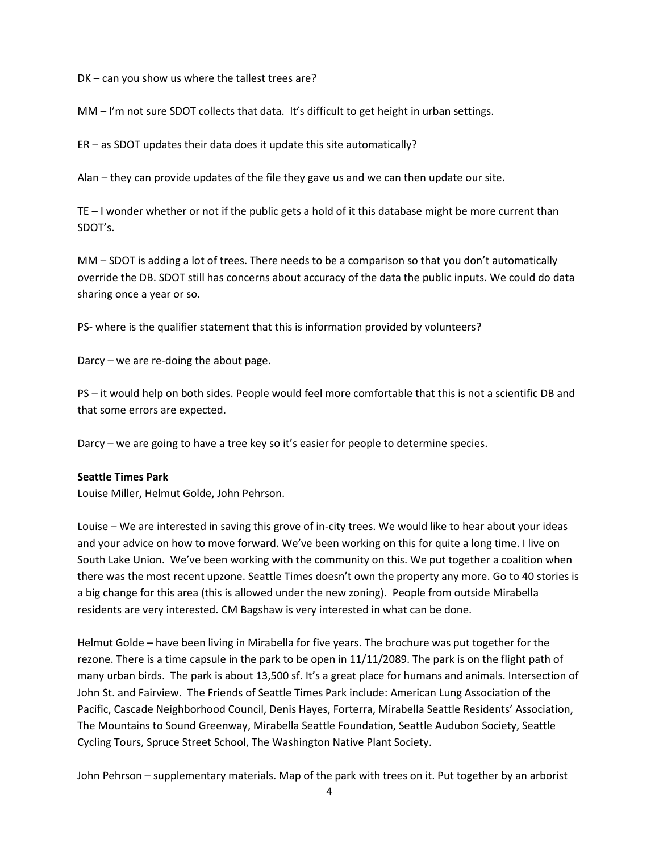DK – can you show us where the tallest trees are?

MM – I'm not sure SDOT collects that data. It's difficult to get height in urban settings.

ER – as SDOT updates their data does it update this site automatically?

Alan – they can provide updates of the file they gave us and we can then update our site.

TE – I wonder whether or not if the public gets a hold of it this database might be more current than SDOT's.

MM – SDOT is adding a lot of trees. There needs to be a comparison so that you don't automatically override the DB. SDOT still has concerns about accuracy of the data the public inputs. We could do data sharing once a year or so.

PS- where is the qualifier statement that this is information provided by volunteers?

Darcy – we are re-doing the about page.

PS – it would help on both sides. People would feel more comfortable that this is not a scientific DB and that some errors are expected.

Darcy – we are going to have a tree key so it's easier for people to determine species.

#### **Seattle Times Park**

Louise Miller, Helmut Golde, John Pehrson.

Louise – We are interested in saving this grove of in-city trees. We would like to hear about your ideas and your advice on how to move forward. We've been working on this for quite a long time. I live on South Lake Union. We've been working with the community on this. We put together a coalition when there was the most recent upzone. Seattle Times doesn't own the property any more. Go to 40 stories is a big change for this area (this is allowed under the new zoning). People from outside Mirabella residents are very interested. CM Bagshaw is very interested in what can be done.

Helmut Golde – have been living in Mirabella for five years. The brochure was put together for the rezone. There is a time capsule in the park to be open in 11/11/2089. The park is on the flight path of many urban birds. The park is about 13,500 sf. It's a great place for humans and animals. Intersection of John St. and Fairview. The Friends of Seattle Times Park include: American Lung Association of the Pacific, Cascade Neighborhood Council, Denis Hayes, Forterra, Mirabella Seattle Residents' Association, The Mountains to Sound Greenway, Mirabella Seattle Foundation, Seattle Audubon Society, Seattle Cycling Tours, Spruce Street School, The Washington Native Plant Society.

John Pehrson – supplementary materials. Map of the park with trees on it. Put together by an arborist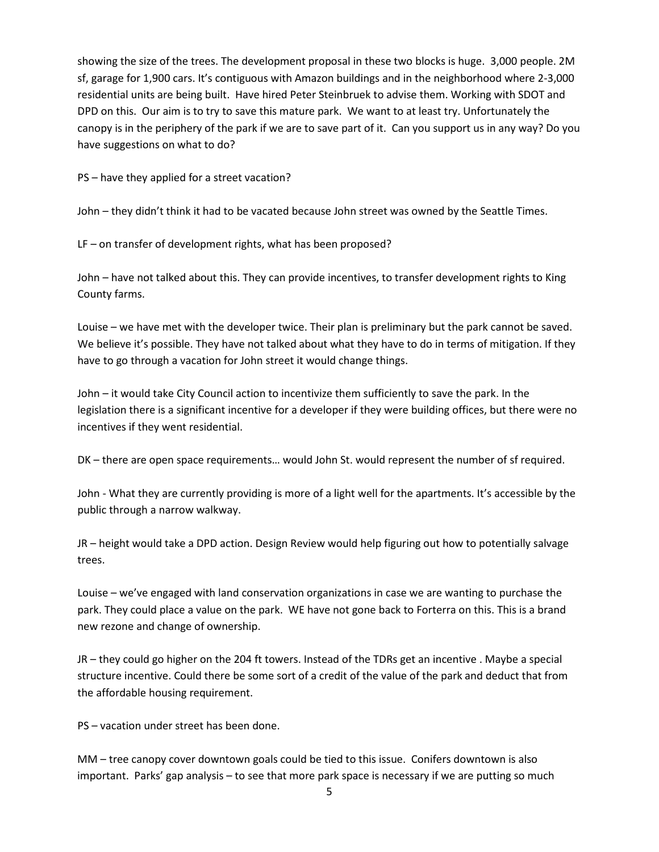showing the size of the trees. The development proposal in these two blocks is huge. 3,000 people. 2M sf, garage for 1,900 cars. It's contiguous with Amazon buildings and in the neighborhood where 2-3,000 residential units are being built. Have hired Peter Steinbruek to advise them. Working with SDOT and DPD on this. Our aim is to try to save this mature park. We want to at least try. Unfortunately the canopy is in the periphery of the park if we are to save part of it. Can you support us in any way? Do you have suggestions on what to do?

PS – have they applied for a street vacation?

John – they didn't think it had to be vacated because John street was owned by the Seattle Times.

LF – on transfer of development rights, what has been proposed?

John – have not talked about this. They can provide incentives, to transfer development rights to King County farms.

Louise – we have met with the developer twice. Their plan is preliminary but the park cannot be saved. We believe it's possible. They have not talked about what they have to do in terms of mitigation. If they have to go through a vacation for John street it would change things.

John – it would take City Council action to incentivize them sufficiently to save the park. In the legislation there is a significant incentive for a developer if they were building offices, but there were no incentives if they went residential.

DK – there are open space requirements… would John St. would represent the number of sf required.

John - What they are currently providing is more of a light well for the apartments. It's accessible by the public through a narrow walkway.

JR – height would take a DPD action. Design Review would help figuring out how to potentially salvage trees.

Louise – we've engaged with land conservation organizations in case we are wanting to purchase the park. They could place a value on the park. WE have not gone back to Forterra on this. This is a brand new rezone and change of ownership.

JR – they could go higher on the 204 ft towers. Instead of the TDRs get an incentive . Maybe a special structure incentive. Could there be some sort of a credit of the value of the park and deduct that from the affordable housing requirement.

PS – vacation under street has been done.

MM – tree canopy cover downtown goals could be tied to this issue. Conifers downtown is also important. Parks' gap analysis – to see that more park space is necessary if we are putting so much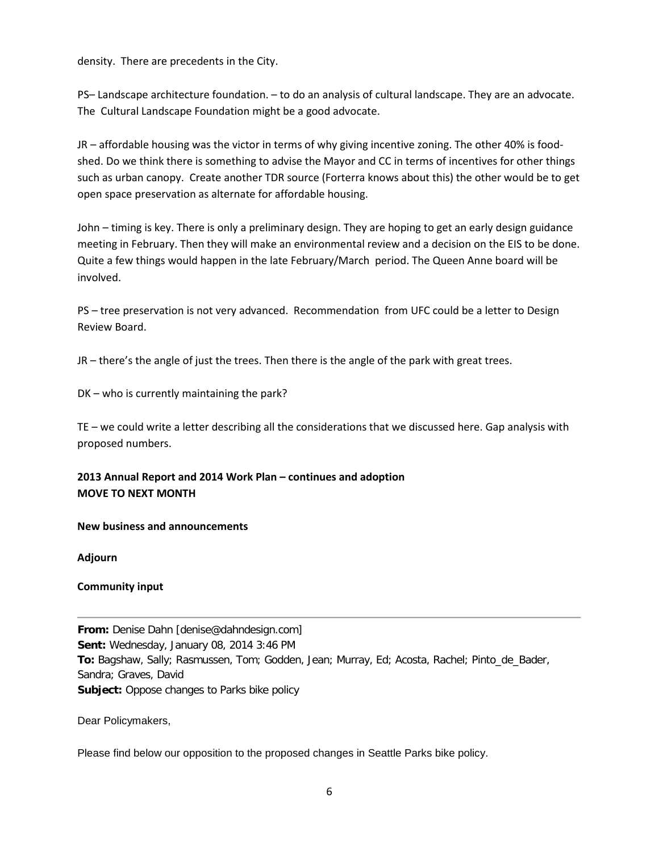density. There are precedents in the City.

PS– Landscape architecture foundation. – to do an analysis of cultural landscape. They are an advocate. The Cultural Landscape Foundation might be a good advocate.

JR – affordable housing was the victor in terms of why giving incentive zoning. The other 40% is foodshed. Do we think there is something to advise the Mayor and CC in terms of incentives for other things such as urban canopy. Create another TDR source (Forterra knows about this) the other would be to get open space preservation as alternate for affordable housing.

John – timing is key. There is only a preliminary design. They are hoping to get an early design guidance meeting in February. Then they will make an environmental review and a decision on the EIS to be done. Quite a few things would happen in the late February/March period. The Queen Anne board will be involved.

PS – tree preservation is not very advanced. Recommendation from UFC could be a letter to Design Review Board.

JR – there's the angle of just the trees. Then there is the angle of the park with great trees.

DK – who is currently maintaining the park?

TE – we could write a letter describing all the considerations that we discussed here. Gap analysis with proposed numbers.

# **2013 Annual Report and 2014 Work Plan – continues and adoption MOVE TO NEXT MONTH**

### **New business and announcements**

**Adjourn**

### **Community input**

**From:** Denise Dahn [denise@dahndesign.com] **Sent:** Wednesday, January 08, 2014 3:46 PM **To:** Bagshaw, Sally; Rasmussen, Tom; Godden, Jean; Murray, Ed; Acosta, Rachel; Pinto\_de\_Bader, Sandra; Graves, David **Subject:** Oppose changes to Parks bike policy

Dear Policymakers,

Please find below our opposition to the proposed changes in Seattle Parks bike policy.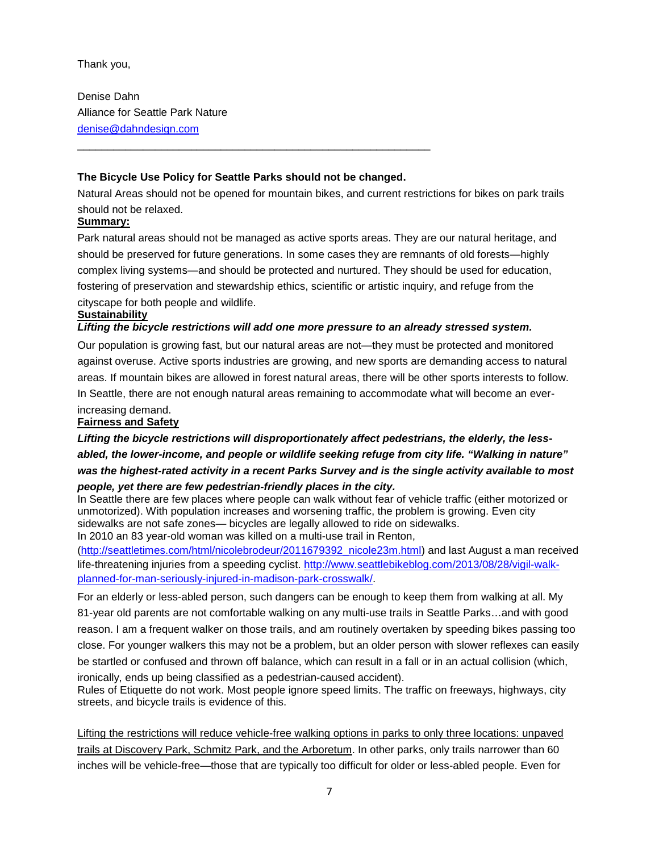Thank you,

Denise Dahn Alliance for Seattle Park Nature [denise@dahndesign.com](https://email.seattle.gov/owa/redir.aspx?C=3hHb-3lTGEe0iLlfmBWMZalWZ0Bj4NBITAoUmLyGI8ADb33ExoN9PN6NpKz_WmwfYUSwCcFUn6A.&URL=mailto%3adenise%40dahndesign.com)

## **The Bicycle Use Policy for Seattle Parks should not be changed.**

\_\_\_\_\_\_\_\_\_\_\_\_\_\_\_\_\_\_\_\_\_\_\_\_\_\_\_\_\_\_\_\_\_\_\_\_\_\_\_\_\_\_\_\_\_\_\_\_\_\_\_\_\_\_\_\_\_\_\_

Natural Areas should not be opened for mountain bikes, and current restrictions for bikes on park trails should not be relaxed.

## **Summary:**

Park natural areas should not be managed as active sports areas. They are our natural heritage, and should be preserved for future generations. In some cases they are remnants of old forests—highly complex living systems—and should be protected and nurtured. They should be used for education, fostering of preservation and stewardship ethics, scientific or artistic inquiry, and refuge from the cityscape for both people and wildlife.

### **Sustainability**

## *Lifting the bicycle restrictions will add one more pressure to an already stressed system.*

Our population is growing fast, but our natural areas are not—they must be protected and monitored against overuse. Active sports industries are growing, and new sports are demanding access to natural areas. If mountain bikes are allowed in forest natural areas, there will be other sports interests to follow. In Seattle, there are not enough natural areas remaining to accommodate what will become an everincreasing demand.

#### **Fairness and Safety**

*Lifting the bicycle restrictions will disproportionately affect pedestrians, the elderly, the lessabled, the lower-income, and people or wildlife seeking refuge from city life. "Walking in nature" was the highest-rated activity in a recent Parks Survey and is the single activity available to most people, yet there are few pedestrian-friendly places in the city.*

In Seattle there are few places where people can walk without fear of vehicle traffic (either motorized or unmotorized). With population increases and worsening traffic, the problem is growing. Even city sidewalks are not safe zones— bicycles are legally allowed to ride on sidewalks.

In 2010 an 83 year-old woman was killed on a multi-use trail in Renton,

[\(http://seattletimes.com/html/nicolebrodeur/2011679392\\_nicole23m.html\)](https://email.seattle.gov/owa/redir.aspx?C=3hHb-3lTGEe0iLlfmBWMZalWZ0Bj4NBITAoUmLyGI8ADb33ExoN9PN6NpKz_WmwfYUSwCcFUn6A.&URL=http%3a%2f%2fseattletimes.com%2fhtml%2fnicolebrodeur%2f2011679392_nicole23m.html) and last August a man received life-threatening injuries from a speeding cyclist. [http://www.seattlebikeblog.com/2013/08/28/vigil-walk](https://email.seattle.gov/owa/redir.aspx?C=3hHb-3lTGEe0iLlfmBWMZalWZ0Bj4NBITAoUmLyGI8ADb33ExoN9PN6NpKz_WmwfYUSwCcFUn6A.&URL=http%3a%2f%2fwww.seattlebikeblog.com%2f2013%2f08%2f28%2fvigil-walk-planned-for-man-seriously-injured-in-madison-park-crosswalk%2f)[planned-for-man-seriously-injured-in-madison-park-crosswalk/.](https://email.seattle.gov/owa/redir.aspx?C=3hHb-3lTGEe0iLlfmBWMZalWZ0Bj4NBITAoUmLyGI8ADb33ExoN9PN6NpKz_WmwfYUSwCcFUn6A.&URL=http%3a%2f%2fwww.seattlebikeblog.com%2f2013%2f08%2f28%2fvigil-walk-planned-for-man-seriously-injured-in-madison-park-crosswalk%2f)

For an elderly or less-abled person, such dangers can be enough to keep them from walking at all. My 81-year old parents are not comfortable walking on any multi-use trails in Seattle Parks…and with good reason. I am a frequent walker on those trails, and am routinely overtaken by speeding bikes passing too close. For younger walkers this may not be a problem, but an older person with slower reflexes can easily be startled or confused and thrown off balance, which can result in a fall or in an actual collision (which, ironically, ends up being classified as a pedestrian-caused accident).

Rules of Etiquette do not work. Most people ignore speed limits. The traffic on freeways, highways, city streets, and bicycle trails is evidence of this.

Lifting the restrictions will reduce vehicle-free walking options in parks to only three locations: unpaved trails at Discovery Park, Schmitz Park, and the Arboretum. In other parks, only trails narrower than 60 inches will be vehicle-free—those that are typically too difficult for older or less-abled people. Even for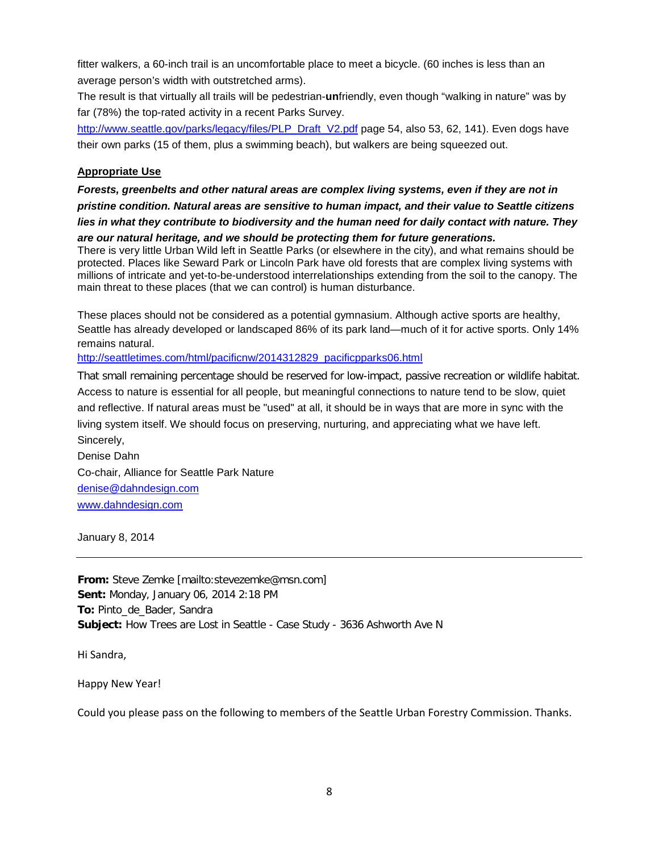fitter walkers, a 60-inch trail is an uncomfortable place to meet a bicycle. (60 inches is less than an average person's width with outstretched arms).

The result is that virtually all trails will be pedestrian-**un**friendly, even though "walking in nature" was by far (78%) the top-rated activity in a recent Parks Survey.

[http://www.seattle.gov/parks/legacy/files/PLP\\_Draft\\_V2.pdf](https://email.seattle.gov/owa/redir.aspx?C=3hHb-3lTGEe0iLlfmBWMZalWZ0Bj4NBITAoUmLyGI8ADb33ExoN9PN6NpKz_WmwfYUSwCcFUn6A.&URL=http%3a%2f%2fwww.seattle.gov%2fparks%2flegacy%2ffiles%2fPLP_Draft_V2.pdf) page 54, also 53, 62, 141). Even dogs have their own parks (15 of them, plus a swimming beach), but walkers are being squeezed out.

## **Appropriate Use**

*Forests, greenbelts and other natural areas are complex living systems, even if they are not in pristine condition. Natural areas are sensitive to human impact, and their value to Seattle citizens lies in what they contribute to biodiversity and the human need for daily contact with nature. They* 

*are our natural heritage, and we should be protecting them for future generations.* There is very little Urban Wild left in Seattle Parks (or elsewhere in the city), and what remains should be protected. Places like Seward Park or Lincoln Park have old forests that are complex living systems with millions of intricate and yet-to-be-understood interrelationships extending from the soil to the canopy. The main threat to these places (that we can control) is human disturbance.

These places should not be considered as a potential gymnasium. Although active sports are healthy, Seattle has already developed or landscaped 86% of its park land—much of it for active sports. Only 14% remains natural.

[http://seattletimes.com/html/pacificnw/2014312829\\_pacificpparks06.html](https://email.seattle.gov/owa/redir.aspx?C=3hHb-3lTGEe0iLlfmBWMZalWZ0Bj4NBITAoUmLyGI8ADb33ExoN9PN6NpKz_WmwfYUSwCcFUn6A.&URL=http%3a%2f%2fseattletimes.com%2fhtml%2fpacificnw%2f2014312829_pacificpparks06.html)

That small remaining percentage should be reserved for low-impact, passive recreation or wildlife habitat. Access to nature is essential for all people, but meaningful connections to nature tend to be slow, quiet and reflective. If natural areas must be "used" at all, it should be in ways that are more in sync with the living system itself. We should focus on preserving, nurturing, and appreciating what we have left. Sincerely,

Denise Dahn Co-chair, Alliance for Seattle Park Nature [denise@dahndesign.com](https://email.seattle.gov/owa/redir.aspx?C=3hHb-3lTGEe0iLlfmBWMZalWZ0Bj4NBITAoUmLyGI8ADb33ExoN9PN6NpKz_WmwfYUSwCcFUn6A.&URL=mailto%3adenise%40dahndesign.com) [www.dahndesign.com](https://email.seattle.gov/owa/redir.aspx?C=3hHb-3lTGEe0iLlfmBWMZalWZ0Bj4NBITAoUmLyGI8ADb33ExoN9PN6NpKz_WmwfYUSwCcFUn6A.&URL=http%3a%2f%2fwww.dahndesign.com%2f)

January 8, 2014

**From:** Steve Zemke [mailto:stevezemke@msn.com] **Sent:** Monday, January 06, 2014 2:18 PM **To:** Pinto\_de\_Bader, Sandra **Subject:** How Trees are Lost in Seattle - Case Study - 3636 Ashworth Ave N

Hi Sandra,

Happy New Year!

Could you please pass on the following to members of the Seattle Urban Forestry Commission. Thanks.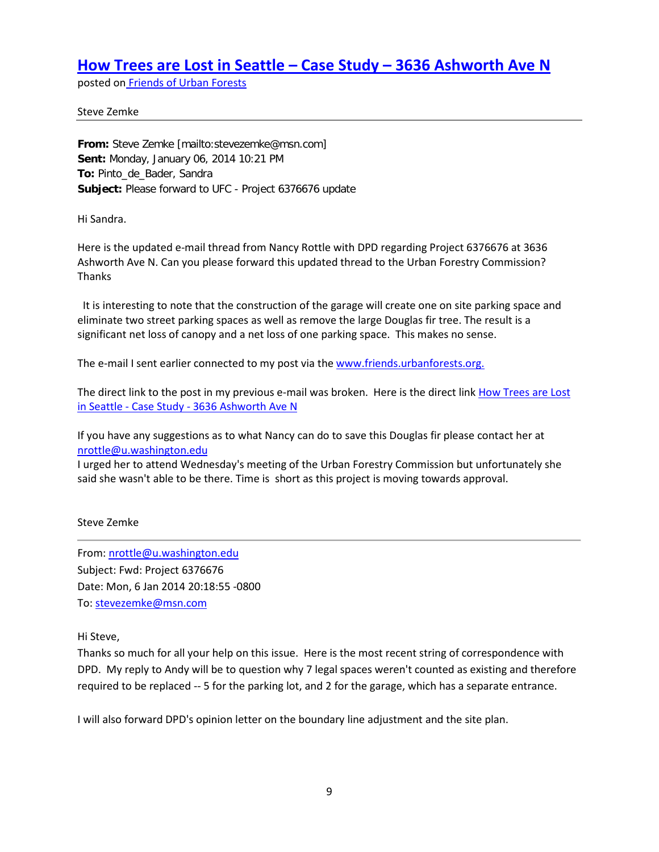# **[How Trees are Lost in Seattle –](http://http/friends.urbanforests.org/2014/01/06/trees-lost-seattle/) Case Study – 3636 Ashworth Ave N**

posted on [Friends of Urban Forests](http://www.friends.urbanforests.org/)

Steve Zemke

**From:** Steve Zemke [mailto:stevezemke@msn.com] **Sent:** Monday, January 06, 2014 10:21 PM **To:** Pinto\_de\_Bader, Sandra **Subject:** Please forward to UFC - Project 6376676 update

Hi Sandra.

Here is the updated e-mail thread from Nancy Rottle with DPD regarding Project 6376676 at 3636 Ashworth Ave N. Can you please forward this updated thread to the Urban Forestry Commission? Thanks

It is interesting to note that the construction of the garage will create one on site parking space and eliminate two street parking spaces as well as remove the large Douglas fir tree. The result is a significant net loss of canopy and a net loss of one parking space. This makes no sense.

The e-mail I sent earlier connected to my post via th[e www.friends.urbanforests.org.](http://friends.urbanforests.org/2014/01/06/trees-lost-seattle/)

The direct link to the post in my previous e-mail was broken. Here is the direct link How Trees are Lost in Seattle - Case Study - [3636 Ashworth Ave N](http://friends.urbanforests.org/2014/01/06/trees-lost-seattle/)

If you have any suggestions as to what Nancy can do to save this Douglas fir please contact her at [nrottle@u.washington.edu](mailto:nrottle@u.washington.edu)

I urged her to attend Wednesday's meeting of the Urban Forestry Commission but unfortunately she said she wasn't able to be there. Time is short as this project is moving towards approval.

#### Steve Zemke

From: [nrottle@u.washington.edu](mailto:nrottle@u.washington.edu) Subject: Fwd: Project 6376676 Date: Mon, 6 Jan 2014 20:18:55 -0800 To[: stevezemke@msn.com](mailto:stevezemke@msn.com)

#### Hi Steve,

Thanks so much for all your help on this issue. Here is the most recent string of correspondence with DPD. My reply to Andy will be to question why 7 legal spaces weren't counted as existing and therefore required to be replaced -- 5 for the parking lot, and 2 for the garage, which has a separate entrance.

I will also forward DPD's opinion letter on the boundary line adjustment and the site plan.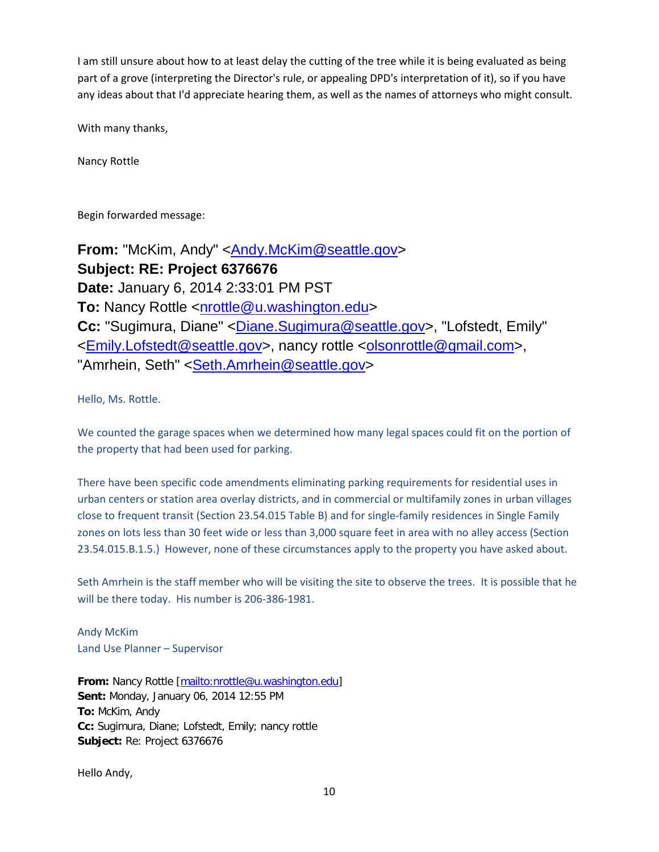I am still unsure about how to at least delay the cutting of the tree while it is being evaluated as being part of a grove (interpreting the Director's rule, or appealing DPD's interpretation of it), so if you have any ideas about that I'd appreciate hearing them, as well as the names of attorneys who might consult.

With many thanks,

Nancy Rottle

Begin forwarded message:

**From:** "McKim, Andy" [<Andy.McKim@seattle.gov>](mailto:Andy.McKim@seattle.gov) **Subject: RE: Project 6376676 Date:** January 6, 2014 2:33:01 PM PST **To:** Nancy Rottle [<nrottle@u.washington.edu>](mailto:nrottle@u.washington.edu) **Cc:** "Sugimura, Diane" [<Diane.Sugimura@seattle.gov>](mailto:Diane.Sugimura@seattle.gov), "Lofstedt, Emily" [<Emily.Lofstedt@seattle.gov>](mailto:Emily.Lofstedt@seattle.gov), nancy rottle [<olsonrottle@gmail.com>](mailto:olsonrottle@gmail.com), "Amrhein, Seth" < Seth.Amrhein@seattle.gov>

Hello, Ms. Rottle.

We counted the garage spaces when we determined how many legal spaces could fit on the portion of the property that had been used for parking.

There have been specific code amendments eliminating parking requirements for residential uses in urban centers or station area overlay districts, and in commercial or multifamily zones in urban villages close to frequent transit (Section 23.54.015 Table B) and for single-family residences in Single Family zones on lots less than 30 feet wide or less than 3,000 square feet in area with no alley access (Section 23.54.015.B.1.5.) However, none of these circumstances apply to the property you have asked about.

Seth Amrhein is the staff member who will be visiting the site to observe the trees. It is possible that he will be there today. His number is 206-386-1981.

Andy McKim Land Use Planner – Supervisor

**From:** Nancy Rottle [\[mailto:nrottle@u.washington.edu\]](mailto:nrottle@u.washington.edu) **Sent:** Monday, January 06, 2014 12:55 PM **To:** McKim, Andy **Cc:** Sugimura, Diane; Lofstedt, Emily; nancy rottle **Subject:** Re: Project 6376676

Hello Andy,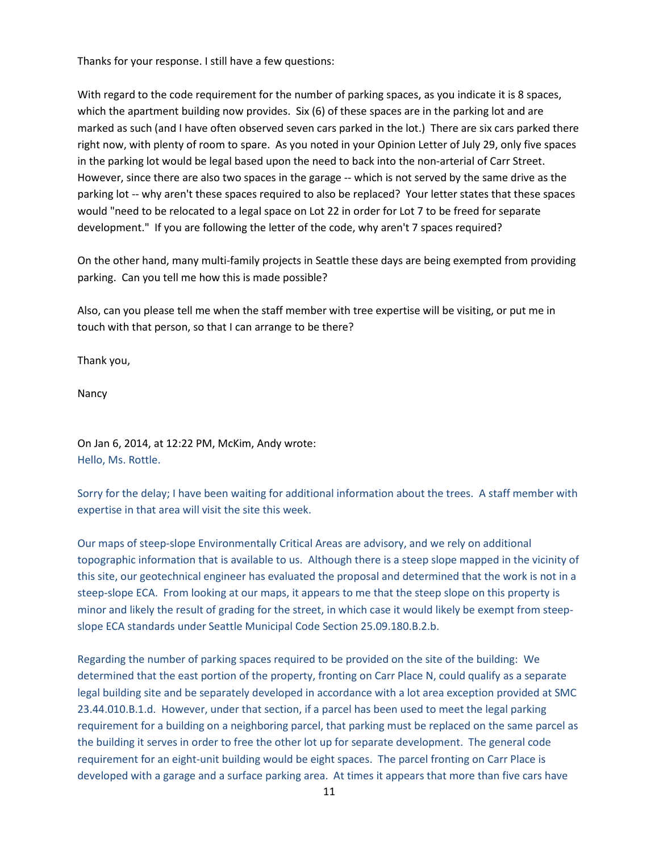Thanks for your response. I still have a few questions:

With regard to the code requirement for the number of parking spaces, as you indicate it is 8 spaces, which the apartment building now provides. Six (6) of these spaces are in the parking lot and are marked as such (and I have often observed seven cars parked in the lot.) There are six cars parked there right now, with plenty of room to spare. As you noted in your Opinion Letter of July 29, only five spaces in the parking lot would be legal based upon the need to back into the non-arterial of Carr Street. However, since there are also two spaces in the garage -- which is not served by the same drive as the parking lot -- why aren't these spaces required to also be replaced? Your letter states that these spaces would "need to be relocated to a legal space on Lot 22 in order for Lot 7 to be freed for separate development." If you are following the letter of the code, why aren't 7 spaces required?

On the other hand, many multi-family projects in Seattle these days are being exempted from providing parking. Can you tell me how this is made possible?

Also, can you please tell me when the staff member with tree expertise will be visiting, or put me in touch with that person, so that I can arrange to be there?

Thank you,

Nancy

On Jan 6, 2014, at 12:22 PM, McKim, Andy wrote: Hello, Ms. Rottle.

Sorry for the delay; I have been waiting for additional information about the trees. A staff member with expertise in that area will visit the site this week.

Our maps of steep-slope Environmentally Critical Areas are advisory, and we rely on additional topographic information that is available to us. Although there is a steep slope mapped in the vicinity of this site, our geotechnical engineer has evaluated the proposal and determined that the work is not in a steep-slope ECA. From looking at our maps, it appears to me that the steep slope on this property is minor and likely the result of grading for the street, in which case it would likely be exempt from steepslope ECA standards under Seattle Municipal Code Section 25.09.180.B.2.b.

Regarding the number of parking spaces required to be provided on the site of the building: We determined that the east portion of the property, fronting on Carr Place N, could qualify as a separate legal building site and be separately developed in accordance with a lot area exception provided at SMC 23.44.010.B.1.d. However, under that section, if a parcel has been used to meet the legal parking requirement for a building on a neighboring parcel, that parking must be replaced on the same parcel as the building it serves in order to free the other lot up for separate development. The general code requirement for an eight-unit building would be eight spaces. The parcel fronting on Carr Place is developed with a garage and a surface parking area. At times it appears that more than five cars have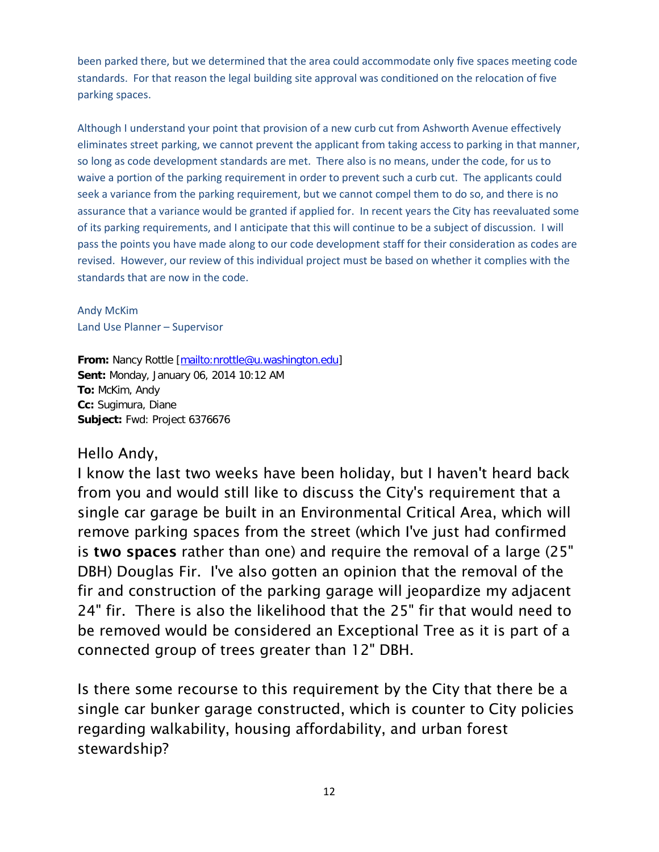been parked there, but we determined that the area could accommodate only five spaces meeting code standards. For that reason the legal building site approval was conditioned on the relocation of five parking spaces.

Although I understand your point that provision of a new curb cut from Ashworth Avenue effectively eliminates street parking, we cannot prevent the applicant from taking access to parking in that manner, so long as code development standards are met. There also is no means, under the code, for us to waive a portion of the parking requirement in order to prevent such a curb cut. The applicants could seek a variance from the parking requirement, but we cannot compel them to do so, and there is no assurance that a variance would be granted if applied for. In recent years the City has reevaluated some of its parking requirements, and I anticipate that this will continue to be a subject of discussion. I will pass the points you have made along to our code development staff for their consideration as codes are revised. However, our review of this individual project must be based on whether it complies with the standards that are now in the code.

Andy McKim Land Use Planner – Supervisor

**From:** Nancy Rottle [\[mailto:nrottle@u.washington.edu\]](mailto:nrottle@u.washington.edu) **Sent:** Monday, January 06, 2014 10:12 AM **To:** McKim, Andy **Cc:** Sugimura, Diane **Subject:** Fwd: Project 6376676

# Hello Andy,

I know the last two weeks have been holiday, but I haven't heard back from you and would still like to discuss the City's requirement that a single car garage be built in an Environmental Critical Area, which will remove parking spaces from the street (which I've just had confirmed is two spaces rather than one) and require the removal of a large (25" DBH) Douglas Fir. I've also gotten an opinion that the removal of the fir and construction of the parking garage will jeopardize my adjacent 24" fir. There is also the likelihood that the 25" fir that would need to be removed would be considered an Exceptional Tree as it is part of a connected group of trees greater than 12" DBH.

Is there some recourse to this requirement by the City that there be a single car bunker garage constructed, which is counter to City policies regarding walkability, housing affordability, and urban forest stewardship?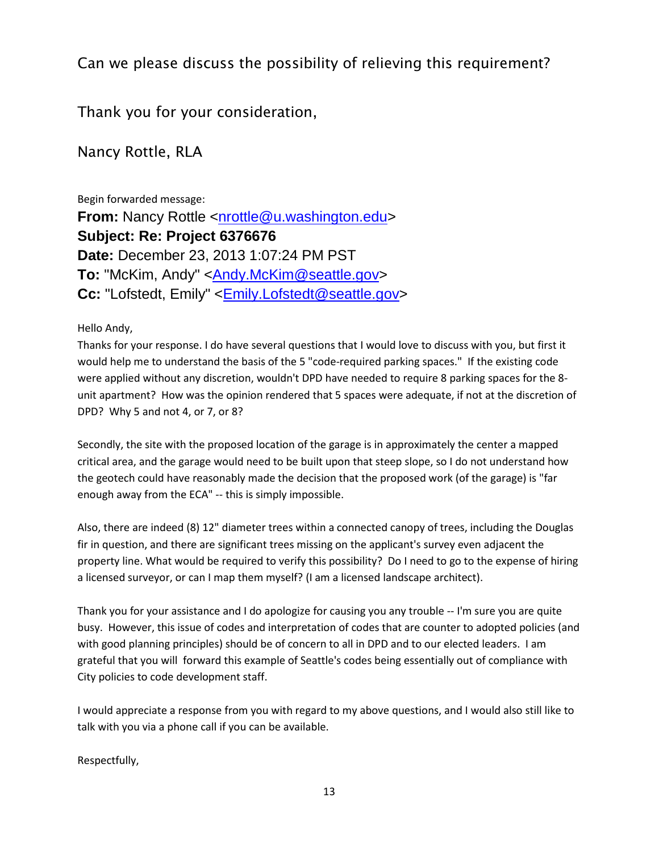# Can we please discuss the possibility of relieving this requirement?

Thank you for your consideration,

Nancy Rottle, RLA

Begin forwarded message: **From:** Nancy Rottle [<nrottle@u.washington.edu>](mailto:nrottle@u.washington.edu) **Subject: Re: Project 6376676 Date:** December 23, 2013 1:07:24 PM PST **To:** "McKim, Andy" [<Andy.McKim@seattle.gov>](mailto:Andy.McKim@seattle.gov) **Cc:** "Lofstedt, Emily" [<Emily.Lofstedt@seattle.gov>](mailto:Emily.Lofstedt@seattle.gov)

Hello Andy,

Thanks for your response. I do have several questions that I would love to discuss with you, but first it would help me to understand the basis of the 5 "code-required parking spaces." If the existing code were applied without any discretion, wouldn't DPD have needed to require 8 parking spaces for the 8 unit apartment? How was the opinion rendered that 5 spaces were adequate, if not at the discretion of DPD? Why 5 and not 4, or 7, or 8?

Secondly, the site with the proposed location of the garage is in approximately the center a mapped critical area, and the garage would need to be built upon that steep slope, so I do not understand how the geotech could have reasonably made the decision that the proposed work (of the garage) is "far enough away from the ECA" -- this is simply impossible.

Also, there are indeed (8) 12" diameter trees within a connected canopy of trees, including the Douglas fir in question, and there are significant trees missing on the applicant's survey even adjacent the property line. What would be required to verify this possibility? Do I need to go to the expense of hiring a licensed surveyor, or can I map them myself? (I am a licensed landscape architect).

Thank you for your assistance and I do apologize for causing you any trouble -- I'm sure you are quite busy. However, this issue of codes and interpretation of codes that are counter to adopted policies (and with good planning principles) should be of concern to all in DPD and to our elected leaders. I am grateful that you will forward this example of Seattle's codes being essentially out of compliance with City policies to code development staff.

I would appreciate a response from you with regard to my above questions, and I would also still like to talk with you via a phone call if you can be available.

Respectfully,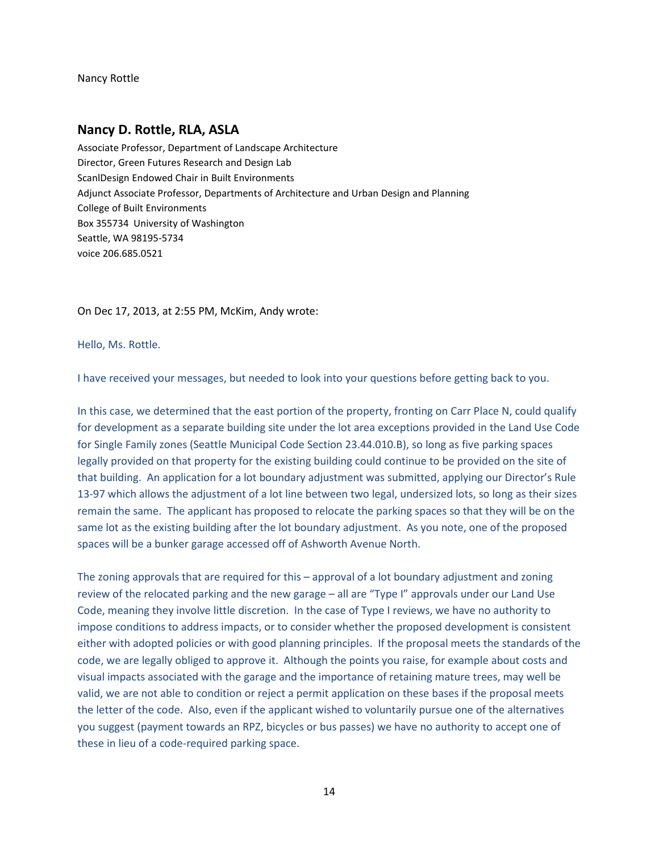Nancy Rottle

### **Nancy D. Rottle, RLA, ASLA**

Associate Professor, Department of Landscape Architecture Director, Green Futures Research and Design Lab ScanlDesign Endowed Chair in Built Environments Adjunct Associate Professor, Departments of Architecture and Urban Design and Planning College of Built Environments Box 355734 University of Washington Seattle, WA 98195-5734 voice 206.685.0521

On Dec 17, 2013, at 2:55 PM, McKim, Andy wrote:

Hello, Ms. Rottle.

I have received your messages, but needed to look into your questions before getting back to you.

In this case, we determined that the east portion of the property, fronting on Carr Place N, could qualify for development as a separate building site under the lot area exceptions provided in the Land Use Code for Single Family zones (Seattle Municipal Code Section 23.44.010.B), so long as five parking spaces legally provided on that property for the existing building could continue to be provided on the site of that building. An application for a lot boundary adjustment was submitted, applying our Director's Rule 13-97 which allows the adjustment of a lot line between two legal, undersized lots, so long as their sizes remain the same. The applicant has proposed to relocate the parking spaces so that they will be on the same lot as the existing building after the lot boundary adjustment. As you note, one of the proposed spaces will be a bunker garage accessed off of Ashworth Avenue North.

The zoning approvals that are required for this – approval of a lot boundary adjustment and zoning review of the relocated parking and the new garage – all are "Type I" approvals under our Land Use Code, meaning they involve little discretion. In the case of Type I reviews, we have no authority to impose conditions to address impacts, or to consider whether the proposed development is consistent either with adopted policies or with good planning principles. If the proposal meets the standards of the code, we are legally obliged to approve it. Although the points you raise, for example about costs and visual impacts associated with the garage and the importance of retaining mature trees, may well be valid, we are not able to condition or reject a permit application on these bases if the proposal meets the letter of the code. Also, even if the applicant wished to voluntarily pursue one of the alternatives you suggest (payment towards an RPZ, bicycles or bus passes) we have no authority to accept one of these in lieu of a code-required parking space.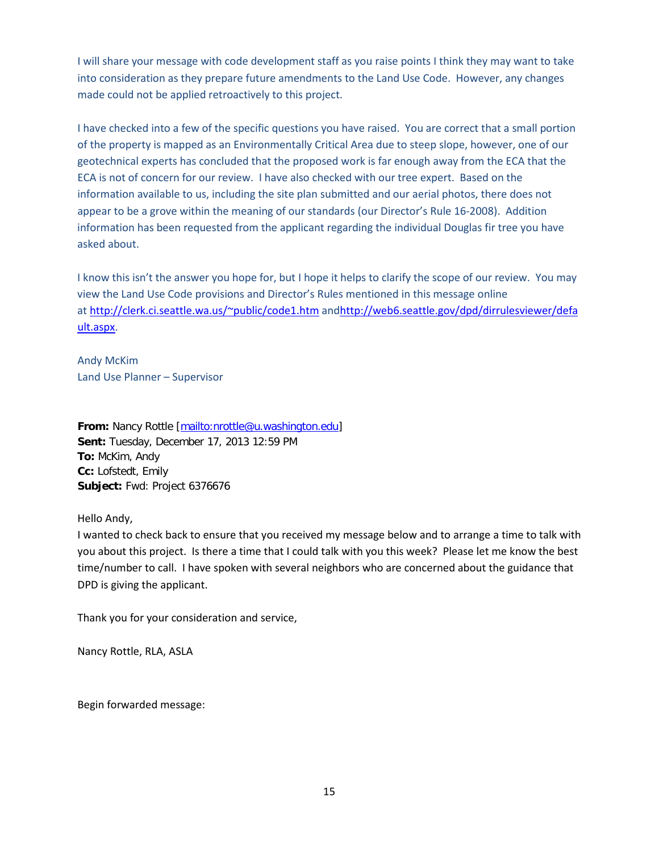I will share your message with code development staff as you raise points I think they may want to take into consideration as they prepare future amendments to the Land Use Code. However, any changes made could not be applied retroactively to this project.

I have checked into a few of the specific questions you have raised. You are correct that a small portion of the property is mapped as an Environmentally Critical Area due to steep slope, however, one of our geotechnical experts has concluded that the proposed work is far enough away from the ECA that the ECA is not of concern for our review. I have also checked with our tree expert. Based on the information available to us, including the site plan submitted and our aerial photos, there does not appear to be a grove within the meaning of our standards (our Director's Rule 16-2008). Addition information has been requested from the applicant regarding the individual Douglas fir tree you have asked about.

I know this isn't the answer you hope for, but I hope it helps to clarify the scope of our review. You may view the Land Use Code provisions and Director's Rules mentioned in this message online at <http://clerk.ci.seattle.wa.us/~public/code1.htm> an[dhttp://web6.seattle.gov/dpd/dirrulesviewer/defa](http://web6.seattle.gov/dpd/dirrulesviewer/default.aspx) [ult.aspx.](http://web6.seattle.gov/dpd/dirrulesviewer/default.aspx)

Andy McKim Land Use Planner – Supervisor

From: Nancy Rottle [\[mailto:nrottle@u.washington.edu\]](mailto:nrottle@u.washington.edu) **Sent:** Tuesday, December 17, 2013 12:59 PM **To:** McKim, Andy **Cc:** Lofstedt, Emily **Subject:** Fwd: Project 6376676

Hello Andy,

I wanted to check back to ensure that you received my message below and to arrange a time to talk with you about this project. Is there a time that I could talk with you this week? Please let me know the best time/number to call. I have spoken with several neighbors who are concerned about the guidance that DPD is giving the applicant.

Thank you for your consideration and service,

Nancy Rottle, RLA, ASLA

Begin forwarded message: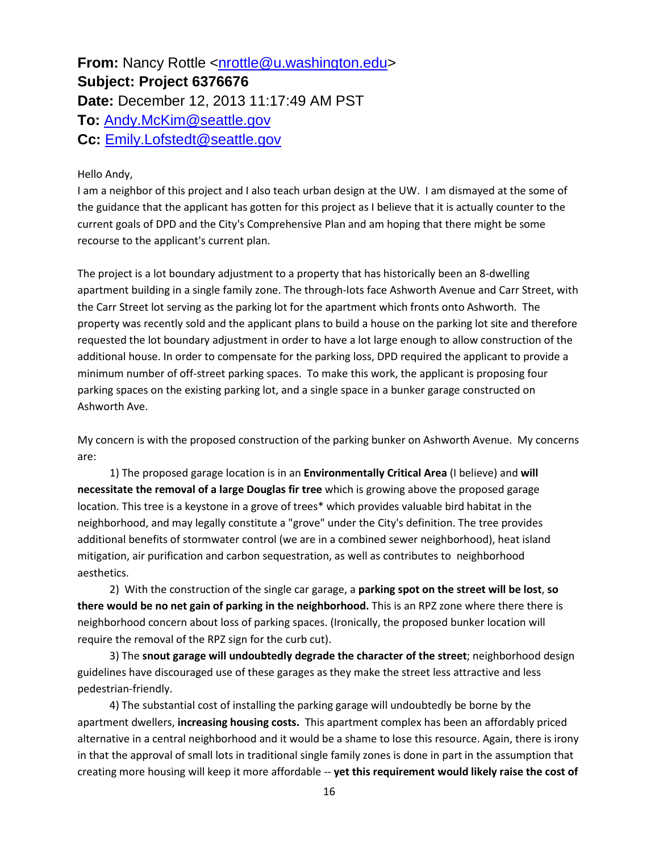**From:** Nancy Rottle [<nrottle@u.washington.edu>](mailto:nrottle@u.washington.edu) **Subject: Project 6376676 Date:** December 12, 2013 11:17:49 AM PST **To:** [Andy.McKim@seattle.gov](mailto:Andy.McKim@seattle.gov) **Cc:** [Emily.Lofstedt@seattle.gov](mailto:Emily.Lofstedt@seattle.gov)

#### Hello Andy,

I am a neighbor of this project and I also teach urban design at the UW. I am dismayed at the some of the guidance that the applicant has gotten for this project as I believe that it is actually counter to the current goals of DPD and the City's Comprehensive Plan and am hoping that there might be some recourse to the applicant's current plan.

The project is a lot boundary adjustment to a property that has historically been an 8-dwelling apartment building in a single family zone. The through-lots face Ashworth Avenue and Carr Street, with the Carr Street lot serving as the parking lot for the apartment which fronts onto Ashworth. The property was recently sold and the applicant plans to build a house on the parking lot site and therefore requested the lot boundary adjustment in order to have a lot large enough to allow construction of the additional house. In order to compensate for the parking loss, DPD required the applicant to provide a minimum number of off-street parking spaces. To make this work, the applicant is proposing four parking spaces on the existing parking lot, and a single space in a bunker garage constructed on Ashworth Ave.

My concern is with the proposed construction of the parking bunker on Ashworth Avenue. My concerns are:

 1) The proposed garage location is in an **Environmentally Critical Area** (I believe) and **will necessitate the removal of a large Douglas fir tree** which is growing above the proposed garage location. This tree is a keystone in a grove of trees\* which provides valuable bird habitat in the neighborhood, and may legally constitute a "grove" under the City's definition. The tree provides additional benefits of stormwater control (we are in a combined sewer neighborhood), heat island mitigation, air purification and carbon sequestration, as well as contributes to neighborhood aesthetics.

 2) With the construction of the single car garage, a **parking spot on the street will be lost**, **so there would be no net gain of parking in the neighborhood.** This is an RPZ zone where there there is neighborhood concern about loss of parking spaces. (Ironically, the proposed bunker location will require the removal of the RPZ sign for the curb cut).

 3) The **snout garage will undoubtedly degrade the character of the street**; neighborhood design guidelines have discouraged use of these garages as they make the street less attractive and less pedestrian-friendly.

 4) The substantial cost of installing the parking garage will undoubtedly be borne by the apartment dwellers, **increasing housing costs.** This apartment complex has been an affordably priced alternative in a central neighborhood and it would be a shame to lose this resource. Again, there is irony in that the approval of small lots in traditional single family zones is done in part in the assumption that creating more housing will keep it more affordable -- **yet this requirement would likely raise the cost of**